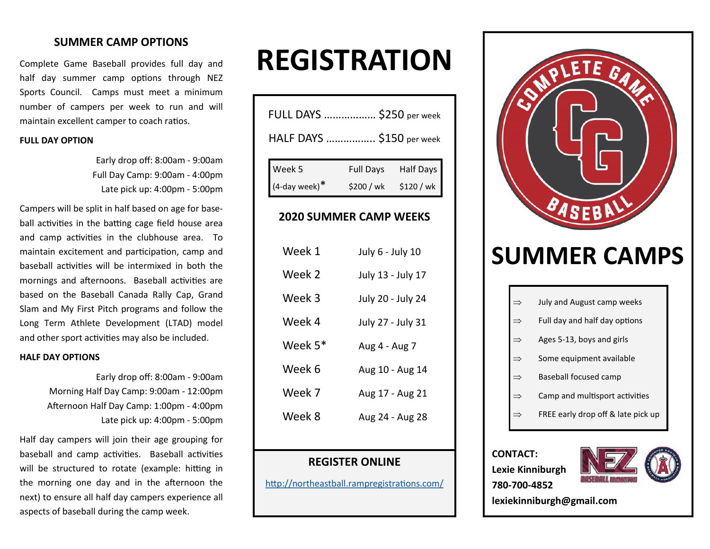## **SUMMER CAMP OPTIONS**

Complete Game Baseball provides full day and half day summer camp options through NEZ Sports Council. Camps must meet a minimum number of campers per week to run and will maintain excellent camper to coach ratios.

#### **FULL DAY OPTION**

Early drop off: 8:00am - 9:00am Full Day Camp: 9:00am - 4:00pm Late pick up: 4:00pm - 5:00pm

Campers will be split in half based on age for baseball activities in the batting cage field house area and camp activities in the clubhouse area. To maintain excitement and participation, camp and baseball activities will be intermixed in both the mornings and afternoons. Baseball activities are based on the Baseball Canada Rally Cap, Grand Slam and My First Pitch programs and follow the Long Term Athlete Development (LTAD) model and other sport activities may also be included.

#### **HALF DAY OPTIONS**

Early drop off: 8:00am - 9:00am Morning Half Day Camp: 9:00am - 12:00pm Afternoon Half Day Camp: 1:00pm - 4:00pm Late pick up: 4:00pm - 5:00pm

Half day campers will join their age grouping for baseball and camp activities. Baseball activities will be structured to rotate (example: hitting in the morning one day and in the afternoon the next) to ensure all half day campers experience all aspects of baseball during the camp week.

# **REGISTRATION**

| FULL DAYS  \$250 per week  |                  |           |
|----------------------------|------------------|-----------|
| HALF DAYS  \$150 per week  |                  |           |
|                            |                  |           |
| Week 5<br>$(4$ -day week)* | <b>Full Days</b> | Half Days |

#### **2020 SUMMER CAMP WEEKS**

| Week 1  | July 6 - July 10  |
|---------|-------------------|
| Week 2  | July 13 - July 17 |
| Week 3  | July 20 - July 24 |
| Week 4  | July 27 - July 31 |
| Week 5* | Aug 4 - Aug 7     |
| Week 6  | Aug 10 - Aug 14   |
| Week 7  | Aug 17 - Aug 21   |
| Week 8  | Aug 24 - Aug 28   |
|         |                   |

## **REGISTER ONLINE**

<http://northeastball.rampregistrations.com/>



## **SUMMER CAMPS**

|               | July and August camp weeks         |
|---------------|------------------------------------|
| $\Rightarrow$ | Full day and half day options      |
| $\Rightarrow$ | Ages 5-13, boys and girls          |
| $\Rightarrow$ | Some equipment available           |
| ⇒             | Baseball focused camp              |
|               | Camp and multisport activities     |
|               | FREE early drop off & late pick up |

#### **CONTACT:**

 **Lexie Kinniburgh 780-700-4852**



 **lexiekinniburgh@gmail.com**